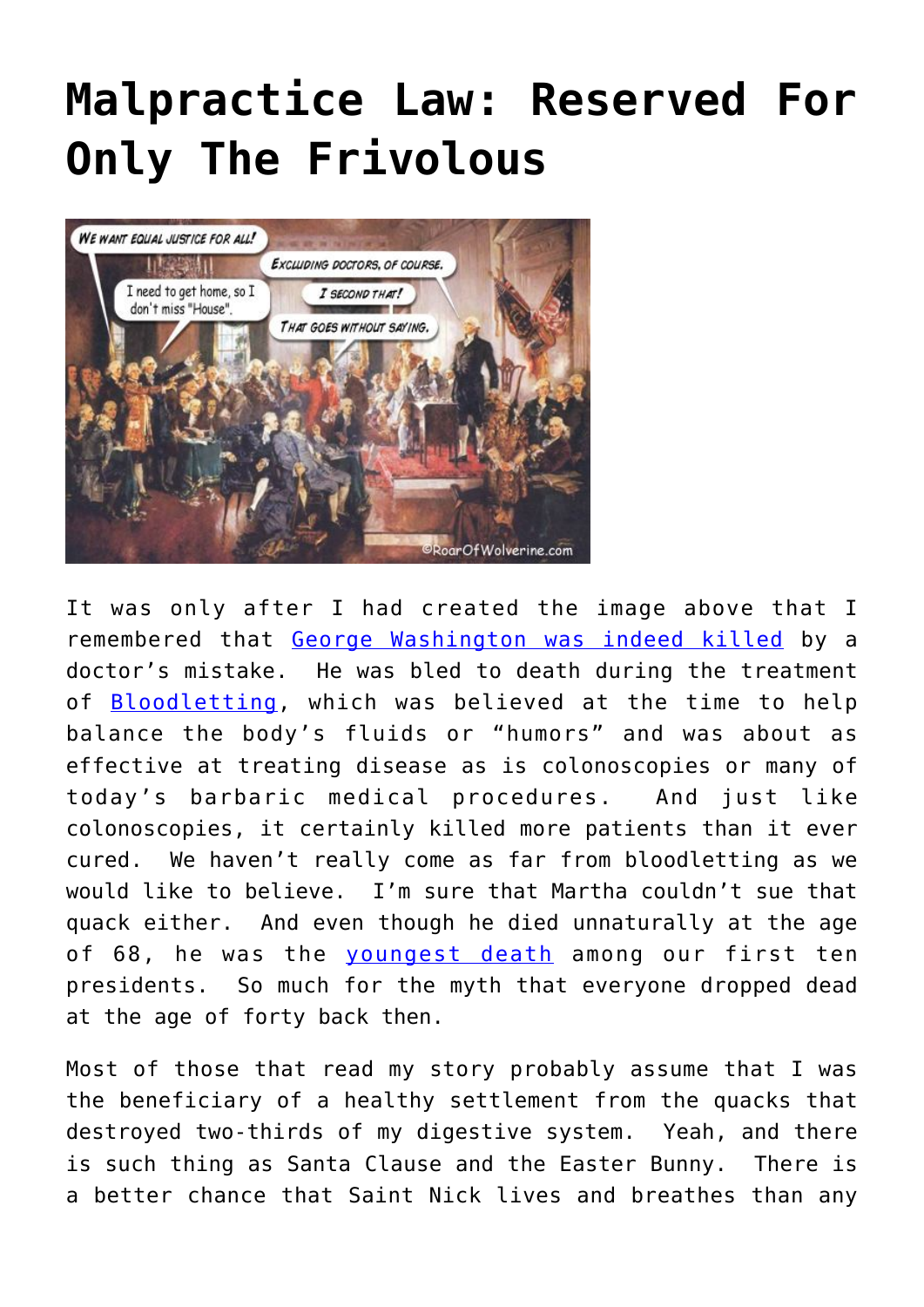## **[Malpractice Law: Reserved For](https://roarofwolverine.com/archives/3195) [Only The Frivolous](https://roarofwolverine.com/archives/3195)**



It was only after I had created the image above that I remembered that [George Washington was indeed killed](http://www.doctorzebra.com/prez/z_x01death_lear_g.htm) by a doctor's mistake. He was bled to death during the treatment of **[Bloodletting](http://en.wikipedia.org/wiki/Bloodletting)**, which was believed at the time to help balance the body's fluids or "humors" and was about as effective at treating disease as is colonoscopies or many of today's barbaric medical procedures. And just like colonoscopies, it certainly killed more patients than it ever cured. We haven't really come as far from bloodletting as we would like to believe. I'm sure that Martha couldn't sue that quack either. And even though he died unnaturally at the age of 68, he was the [youngest death](http://en.wikipedia.org/wiki/List_of_Presidents_of_the_United_States_by_date_of_death) among our first ten presidents. So much for the myth that everyone dropped dead at the age of forty back then.

Most of those that read my story probably assume that I was the beneficiary of a healthy settlement from the quacks that destroyed two-thirds of my digestive system. Yeah, and there is such thing as Santa Clause and the Easter Bunny. There is a better chance that Saint Nick lives and breathes than any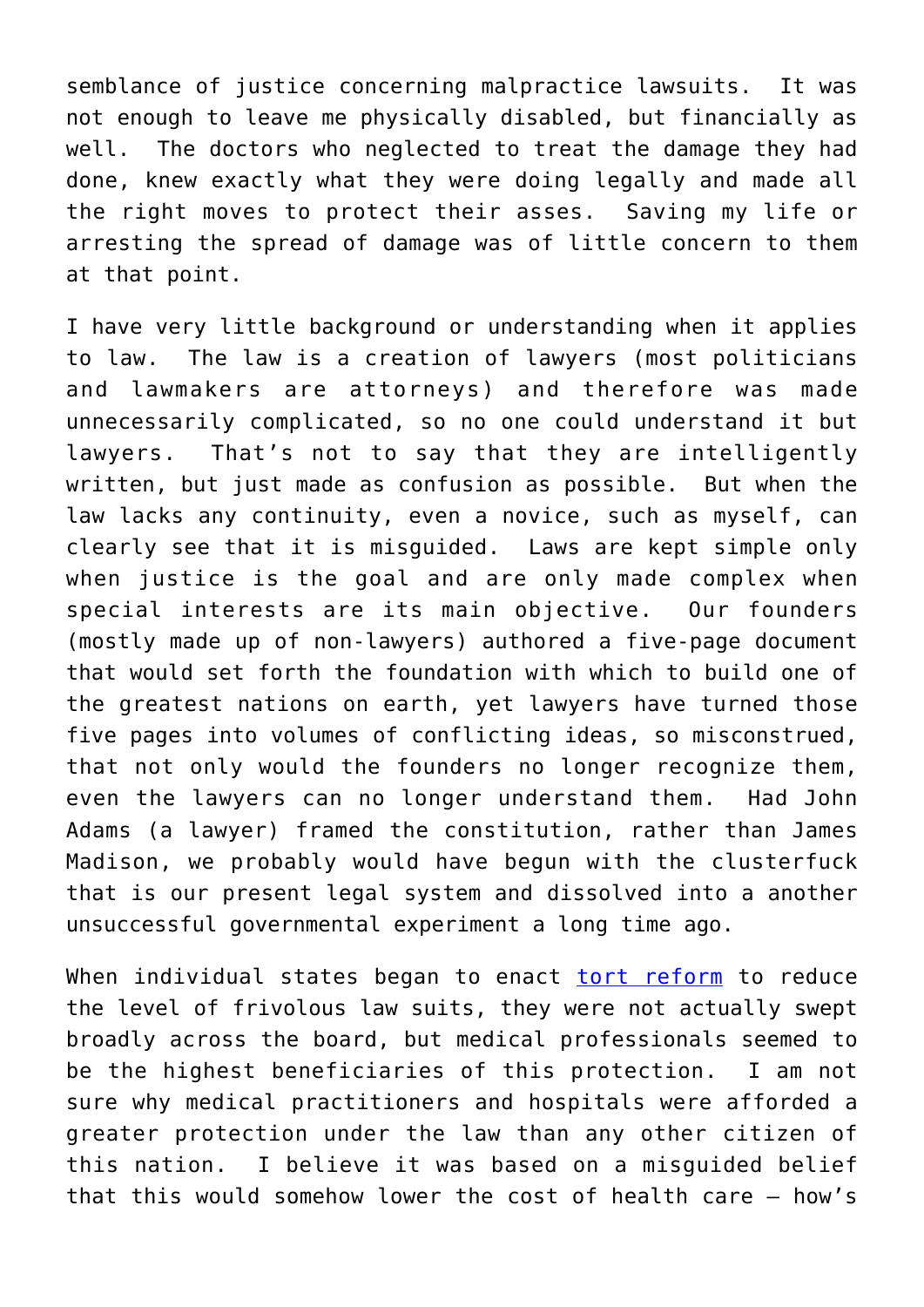semblance of justice concerning malpractice lawsuits. It was not enough to leave me physically disabled, but financially as well. The doctors who neglected to treat the damage they had done, knew exactly what they were doing legally and made all the right moves to protect their asses. Saving my life or arresting the spread of damage was of little concern to them at that point.

I have very little background or understanding when it applies to law. The law is a creation of lawyers (most politicians and lawmakers are attorneys) and therefore was made unnecessarily complicated, so no one could understand it but lawyers. That's not to say that they are intelligently written, but just made as confusion as possible. But when the law lacks any continuity, even a novice, such as myself, can clearly see that it is misguided. Laws are kept simple only when justice is the goal and are only made complex when special interests are its main objective. Our founders (mostly made up of non-lawyers) authored a five-page document that would set forth the foundation with which to build one of the greatest nations on earth, yet lawyers have turned those five pages into volumes of conflicting ideas, so misconstrued, that not only would the founders no longer recognize them, even the lawyers can no longer understand them. Had John Adams (a lawyer) framed the constitution, rather than James Madison, we probably would have begun with the clusterfuck that is our present legal system and dissolved into a another unsuccessful governmental experiment a long time ago.

When individual states began to enact [tort reform](http://en.wikipedia.org/wiki/Tort_reform) to reduce the level of frivolous law suits, they were not actually swept broadly across the board, but medical professionals seemed to be the highest beneficiaries of this protection. I am not sure why medical practitioners and hospitals were afforded a greater protection under the law than any other citizen of this nation. I believe it was based on a misguided belief that this would somehow lower the cost of health care – how's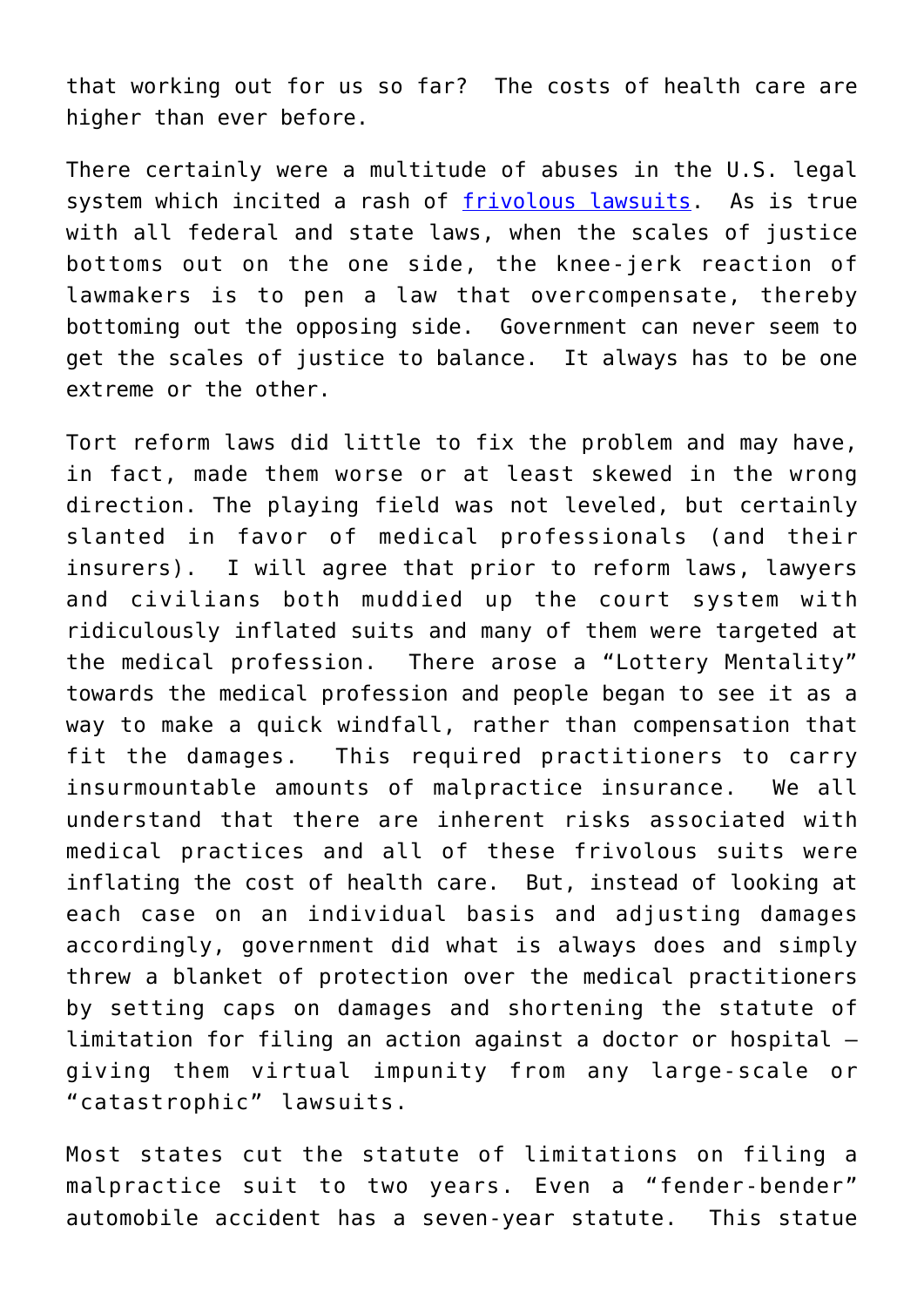that working out for us so far? The costs of health care are higher than ever before.

There certainly were a multitude of abuses in the U.S. legal system which incited a rash of [frivolous lawsuits.](http://www.google.com/search?q=frivolous+lawsuits&hl=en&gbv=2&gs_l=hp.1.0.0l6j0i10j0l3.2777.4957.0.8756.7.7.0.0.0.0.293.822.0j4j1.5.0...0.0.MX-xO1ZM6HQ&oq=frivolous+lawsuits&aq=f&aqi=&aql=) As is true with all federal and state laws, when the scales of justice bottoms out on the one side, the knee-jerk reaction of lawmakers is to pen a law that overcompensate, thereby bottoming out the opposing side. Government can never seem to get the scales of justice to balance. It always has to be one extreme or the other.

Tort reform laws did little to fix the problem and may have, in fact, made them worse or at least skewed in the wrong direction. The playing field was not leveled, but certainly slanted in favor of medical professionals (and their insurers). I will agree that prior to reform laws, lawyers and civilians both muddied up the court system with ridiculously inflated suits and many of them were targeted at the medical profession. There arose a "Lottery Mentality" towards the medical profession and people began to see it as a way to make a quick windfall, rather than compensation that fit the damages. This required practitioners to carry insurmountable amounts of malpractice insurance. We all understand that there are inherent risks associated with medical practices and all of these frivolous suits were inflating the cost of health care. But, instead of looking at each case on an individual basis and adjusting damages accordingly, government did what is always does and simply threw a blanket of protection over the medical practitioners by setting caps on damages and shortening the statute of limitation for filing an action against a doctor or hospital – giving them virtual impunity from any large-scale or "catastrophic" lawsuits.

Most states cut the statute of limitations on filing a malpractice suit to two years. Even a "fender-bender" automobile accident has a seven-year statute. This statue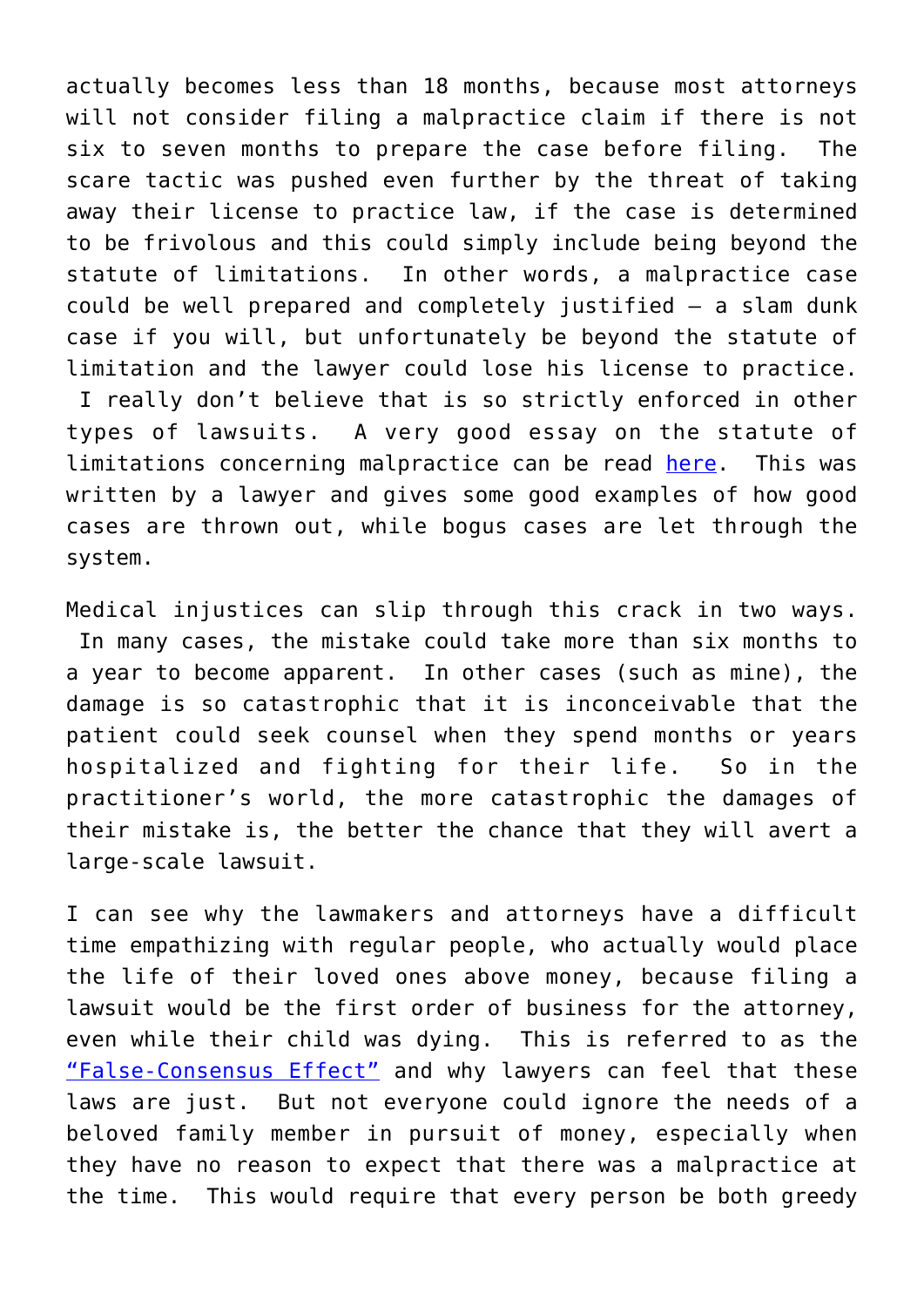actually becomes less than 18 months, because most attorneys will not consider filing a malpractice claim if there is not six to seven months to prepare the case before filing. The scare tactic was pushed even further by the threat of taking away their license to practice law, if the case is determined to be frivolous and this could simply include being beyond the statute of limitations. In other words, a malpractice case could be well prepared and completely justified – a slam dunk case if you will, but unfortunately be beyond the statute of limitation and the lawyer could lose his license to practice. I really don't believe that is so strictly enforced in other types of lawsuits. A very good essay on the statute of limitations concerning malpractice can be read [here](http://www.floridamalpractice.com/articlestatlimitations.htm). This was written by a lawyer and gives some good examples of how good cases are thrown out, while bogus cases are let through the system.

Medical injustices can slip through this crack in two ways. In many cases, the mistake could take more than six months to a year to become apparent. In other cases (such as mine), the damage is so catastrophic that it is inconceivable that the patient could seek counsel when they spend months or years hospitalized and fighting for their life. So in the practitioner's world, the more catastrophic the damages of their mistake is, the better the chance that they will avert a large-scale lawsuit.

I can see why the lawmakers and attorneys have a difficult time empathizing with regular people, who actually would place the life of their loved ones above money, because filing a lawsuit would be the first order of business for the attorney, even while their child was dying. This is referred to as the ["False-Consensus Effect"](http://en.wikipedia.org/wiki/False-consensus_effect) and why lawyers can feel that these laws are just. But not everyone could ignore the needs of a beloved family member in pursuit of money, especially when they have no reason to expect that there was a malpractice at the time. This would require that every person be both greedy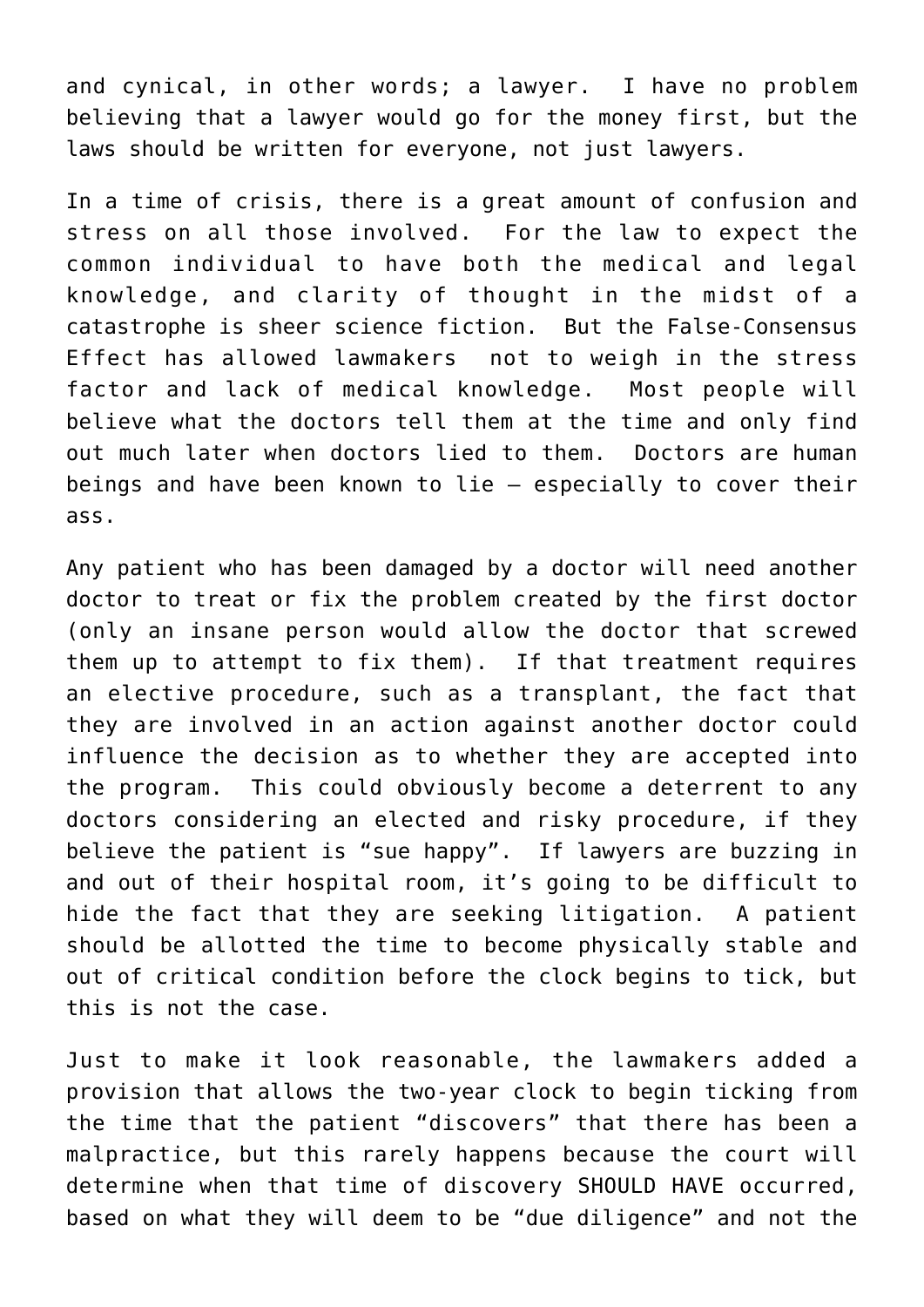and cynical, in other words; a lawyer. I have no problem believing that a lawyer would go for the money first, but the laws should be written for everyone, not just lawyers.

In a time of crisis, there is a great amount of confusion and stress on all those involved. For the law to expect the common individual to have both the medical and legal knowledge, and clarity of thought in the midst of a catastrophe is sheer science fiction. But the False-Consensus Effect has allowed lawmakers not to weigh in the stress factor and lack of medical knowledge. Most people will believe what the doctors tell them at the time and only find out much later when doctors lied to them. Doctors are human beings and have been known to lie – especially to cover their ass.

Any patient who has been damaged by a doctor will need another doctor to treat or fix the problem created by the first doctor (only an insane person would allow the doctor that screwed them up to attempt to fix them). If that treatment requires an elective procedure, such as a transplant, the fact that they are involved in an action against another doctor could influence the decision as to whether they are accepted into the program. This could obviously become a deterrent to any doctors considering an elected and risky procedure, if they believe the patient is "sue happy". If lawyers are buzzing in and out of their hospital room, it's going to be difficult to hide the fact that they are seeking litigation. A patient should be allotted the time to become physically stable and out of critical condition before the clock begins to tick, but this is not the case.

Just to make it look reasonable, the lawmakers added a provision that allows the two-year clock to begin ticking from the time that the patient "discovers" that there has been a malpractice, but this rarely happens because the court will determine when that time of discovery SHOULD HAVE occurred, based on what they will deem to be "due diligence" and not the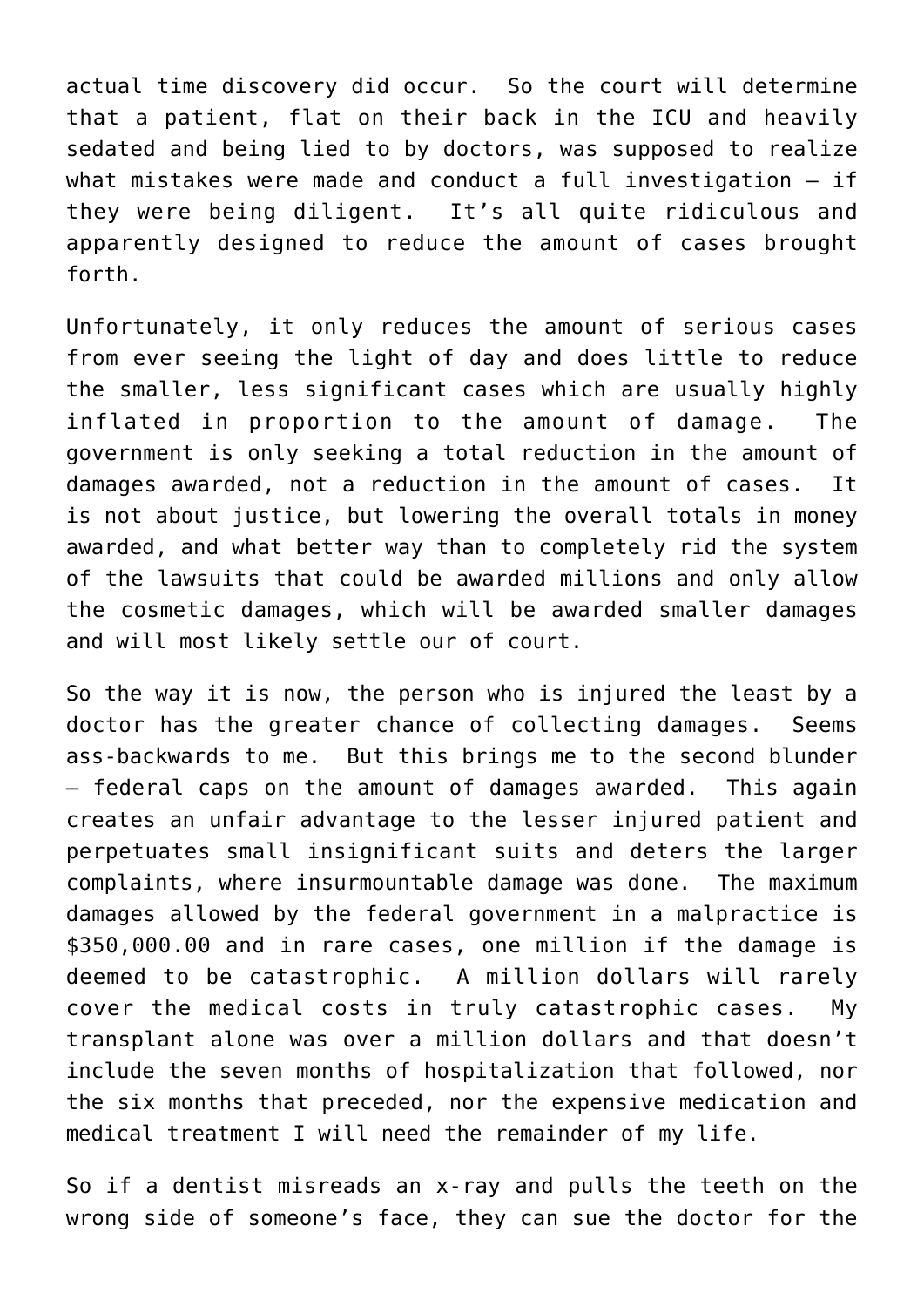actual time discovery did occur. So the court will determine that a patient, flat on their back in the ICU and heavily sedated and being lied to by doctors, was supposed to realize what mistakes were made and conduct a full investigation – if they were being diligent. It's all quite ridiculous and apparently designed to reduce the amount of cases brought forth.

Unfortunately, it only reduces the amount of serious cases from ever seeing the light of day and does little to reduce the smaller, less significant cases which are usually highly inflated in proportion to the amount of damage. The government is only seeking a total reduction in the amount of damages awarded, not a reduction in the amount of cases. It is not about justice, but lowering the overall totals in money awarded, and what better way than to completely rid the system of the lawsuits that could be awarded millions and only allow the cosmetic damages, which will be awarded smaller damages and will most likely settle our of court.

So the way it is now, the person who is injured the least by a doctor has the greater chance of collecting damages. Seems ass-backwards to me. But this brings me to the second blunder – federal caps on the amount of damages awarded. This again creates an unfair advantage to the lesser injured patient and perpetuates small insignificant suits and deters the larger complaints, where insurmountable damage was done. The maximum damages allowed by the federal government in a malpractice is \$350,000.00 and in rare cases, one million if the damage is deemed to be catastrophic. A million dollars will rarely cover the medical costs in truly catastrophic cases. My transplant alone was over a million dollars and that doesn't include the seven months of hospitalization that followed, nor the six months that preceded, nor the expensive medication and medical treatment I will need the remainder of my life.

So if a dentist misreads an x-ray and pulls the teeth on the wrong side of someone's face, they can sue the doctor for the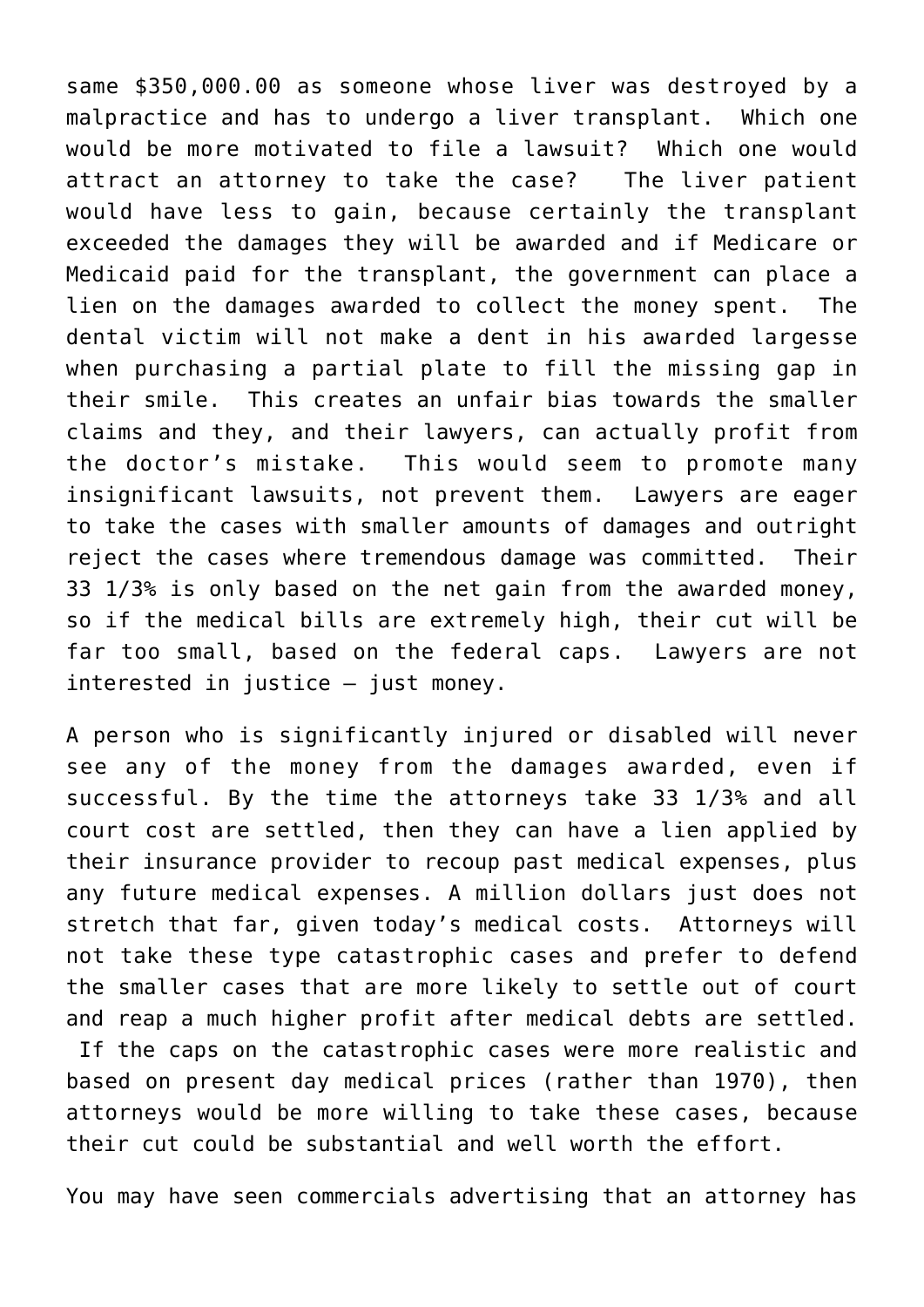same \$350,000.00 as someone whose liver was destroyed by a malpractice and has to undergo a liver transplant. Which one would be more motivated to file a lawsuit? Which one would attract an attorney to take the case? The liver patient would have less to gain, because certainly the transplant exceeded the damages they will be awarded and if Medicare or Medicaid paid for the transplant, the government can place a lien on the damages awarded to collect the money spent. The dental victim will not make a dent in his awarded largesse when purchasing a partial plate to fill the missing gap in their smile. This creates an unfair bias towards the smaller claims and they, and their lawyers, can actually profit from the doctor's mistake. This would seem to promote many insignificant lawsuits, not prevent them. Lawyers are eager to take the cases with smaller amounts of damages and outright reject the cases where tremendous damage was committed. Their 33 1/3% is only based on the net gain from the awarded money, so if the medical bills are extremely high, their cut will be far too small, based on the federal caps. Lawyers are not interested in justice – just money.

A person who is significantly injured or disabled will never see any of the money from the damages awarded, even if successful. By the time the attorneys take 33 1/3% and all court cost are settled, then they can have a lien applied by their insurance provider to recoup past medical expenses, plus any future medical expenses. A million dollars just does not stretch that far, given today's medical costs. Attorneys will not take these type catastrophic cases and prefer to defend the smaller cases that are more likely to settle out of court and reap a much higher profit after medical debts are settled. If the caps on the catastrophic cases were more realistic and based on present day medical prices (rather than 1970), then attorneys would be more willing to take these cases, because their cut could be substantial and well worth the effort.

You may have seen commercials advertising that an attorney has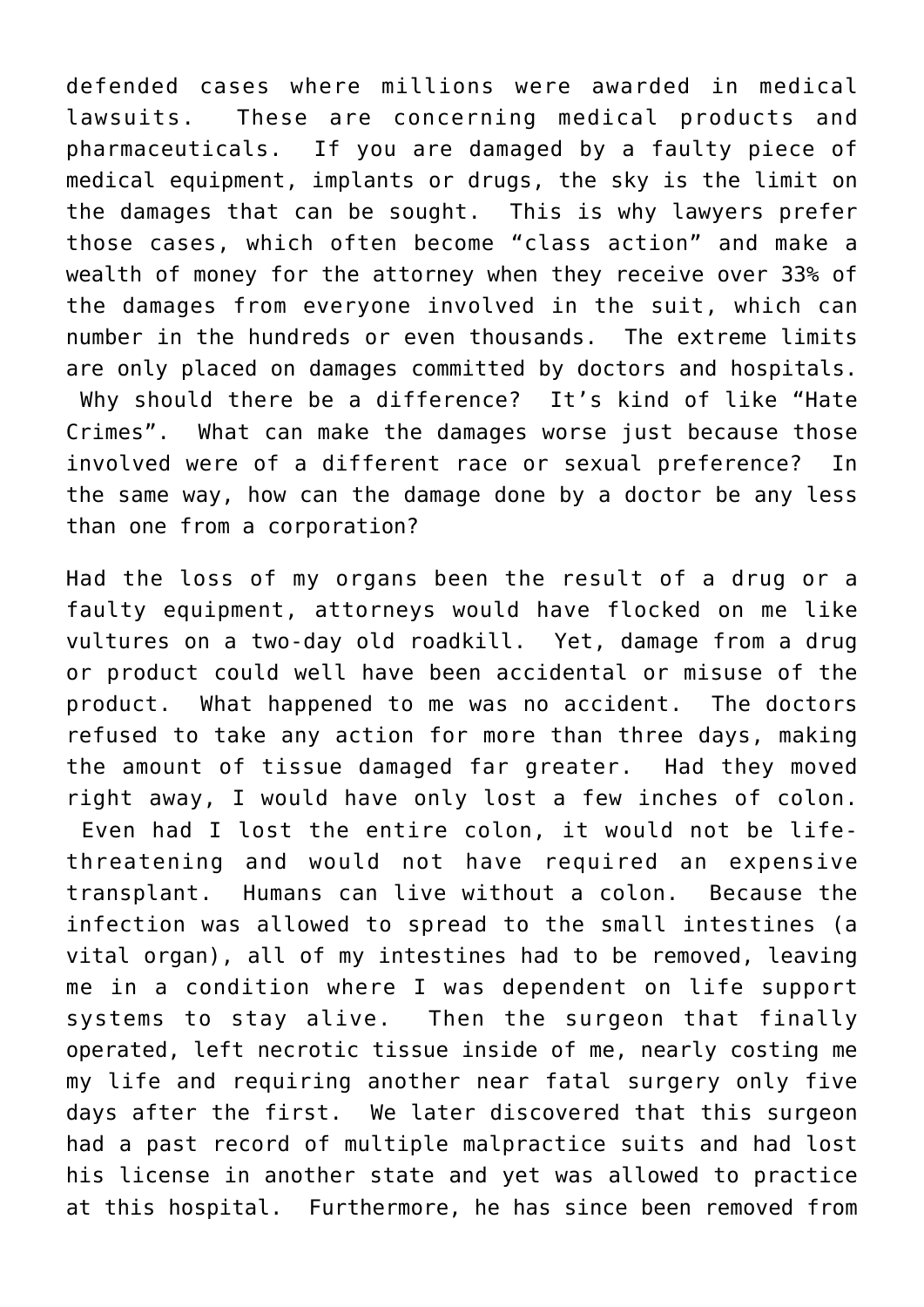defended cases where millions were awarded in medical lawsuits. These are concerning medical products and pharmaceuticals. If you are damaged by a faulty piece of medical equipment, implants or drugs, the sky is the limit on the damages that can be sought. This is why lawyers prefer those cases, which often become "class action" and make a wealth of money for the attorney when they receive over 33% of the damages from everyone involved in the suit, which can number in the hundreds or even thousands. The extreme limits are only placed on damages committed by doctors and hospitals. Why should there be a difference? It's kind of like "Hate Crimes". What can make the damages worse just because those involved were of a different race or sexual preference? In the same way, how can the damage done by a doctor be any less than one from a corporation?

Had the loss of my organs been the result of a drug or a faulty equipment, attorneys would have flocked on me like vultures on a two-day old roadkill. Yet, damage from a drug or product could well have been accidental or misuse of the product. What happened to me was no accident. The doctors refused to take any action for more than three days, making the amount of tissue damaged far greater. Had they moved right away, I would have only lost a few inches of colon. Even had I lost the entire colon, it would not be lifethreatening and would not have required an expensive transplant. Humans can live without a colon. Because the infection was allowed to spread to the small intestines (a vital organ), all of my intestines had to be removed, leaving me in a condition where I was dependent on life support systems to stay alive. Then the surgeon that finally operated, left necrotic tissue inside of me, nearly costing me my life and requiring another near fatal surgery only five days after the first. We later discovered that this surgeon had a past record of multiple malpractice suits and had lost his license in another state and yet was allowed to practice at this hospital. Furthermore, he has since been removed from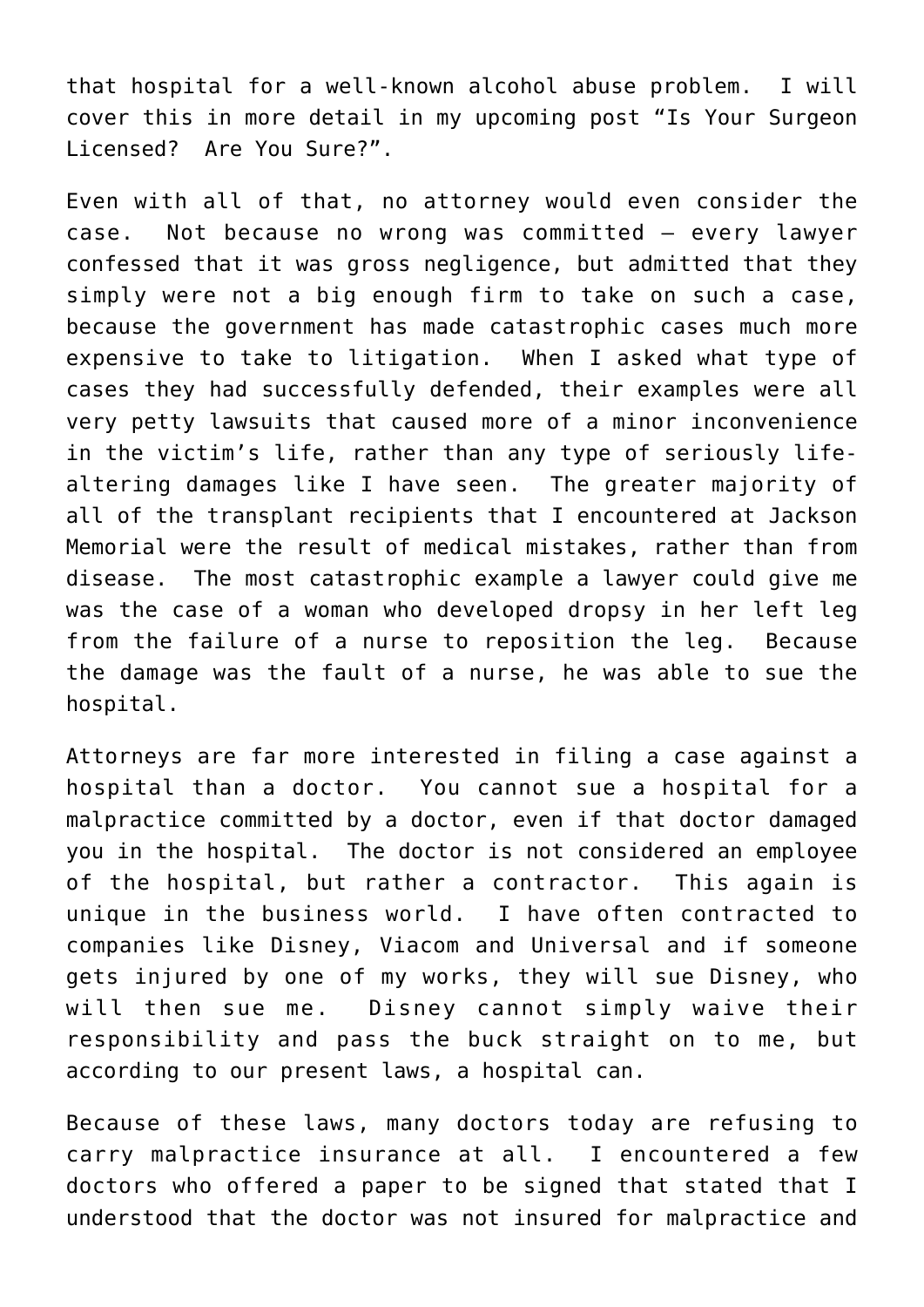that hospital for a well-known alcohol abuse problem. I will cover this in more detail in my upcoming post "Is Your Surgeon Licensed? Are You Sure?".

Even with all of that, no attorney would even consider the case. Not because no wrong was committed – every lawyer confessed that it was gross negligence, but admitted that they simply were not a big enough firm to take on such a case, because the government has made catastrophic cases much more expensive to take to litigation. When I asked what type of cases they had successfully defended, their examples were all very petty lawsuits that caused more of a minor inconvenience in the victim's life, rather than any type of seriously lifealtering damages like I have seen. The greater majority of all of the transplant recipients that I encountered at Jackson Memorial were the result of medical mistakes, rather than from disease. The most catastrophic example a lawyer could give me was the case of a woman who developed dropsy in her left leg from the failure of a nurse to reposition the leg. Because the damage was the fault of a nurse, he was able to sue the hospital.

Attorneys are far more interested in filing a case against a hospital than a doctor. You cannot sue a hospital for a malpractice committed by a doctor, even if that doctor damaged you in the hospital. The doctor is not considered an employee of the hospital, but rather a contractor. This again is unique in the business world. I have often contracted to companies like Disney, Viacom and Universal and if someone gets injured by one of my works, they will sue Disney, who will then sue me. Disney cannot simply waive their responsibility and pass the buck straight on to me, but according to our present laws, a hospital can.

Because of these laws, many doctors today are refusing to carry malpractice insurance at all. I encountered a few doctors who offered a paper to be signed that stated that I understood that the doctor was not insured for malpractice and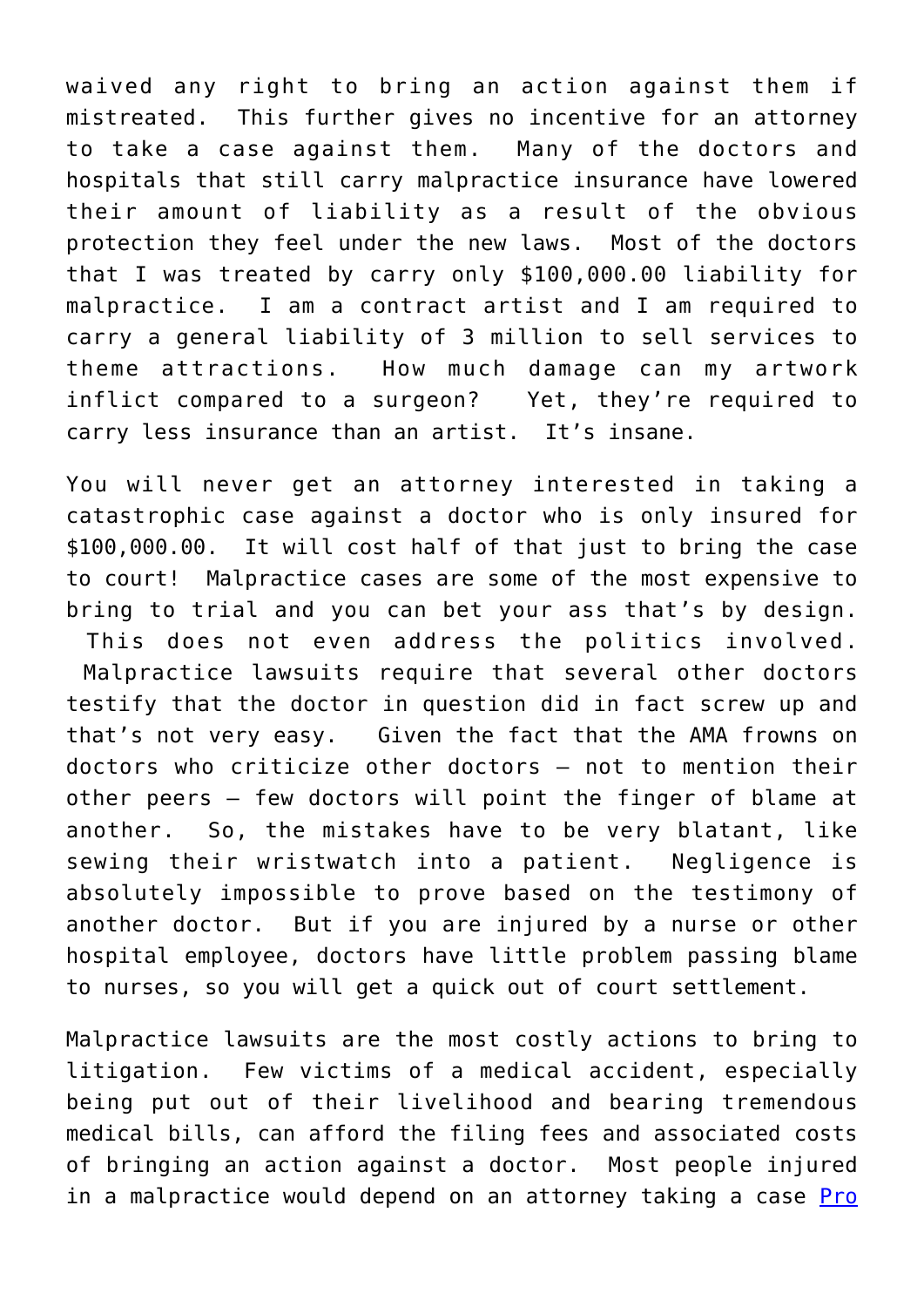waived any right to bring an action against them if mistreated. This further gives no incentive for an attorney to take a case against them. Many of the doctors and hospitals that still carry malpractice insurance have lowered their amount of liability as a result of the obvious protection they feel under the new laws. Most of the doctors that I was treated by carry only \$100,000.00 liability for malpractice. I am a contract artist and I am required to carry a general liability of 3 million to sell services to theme attractions. How much damage can my artwork inflict compared to a surgeon? Yet, they're required to carry less insurance than an artist. It's insane.

You will never get an attorney interested in taking a catastrophic case against a doctor who is only insured for \$100,000.00. It will cost half of that just to bring the case to court! Malpractice cases are some of the most expensive to bring to trial and you can bet your ass that's by design.

 This does not even address the politics involved. Malpractice lawsuits require that several other doctors testify that the doctor in question did in fact screw up and that's not very easy. Given the fact that the AMA frowns on doctors who criticize other doctors – not to mention their other peers – few doctors will point the finger of blame at another. So, the mistakes have to be very blatant, like sewing their wristwatch into a patient. Negligence is absolutely impossible to prove based on the testimony of another doctor. But if you are injured by a nurse or other hospital employee, doctors have little problem passing blame to nurses, so you will get a quick out of court settlement.

Malpractice lawsuits are the most costly actions to bring to litigation. Few victims of a medical accident, especially being put out of their livelihood and bearing tremendous medical bills, can afford the filing fees and associated costs of bringing an action against a doctor. Most people injured in a malpractice would depend on an attorney taking a case **Pro**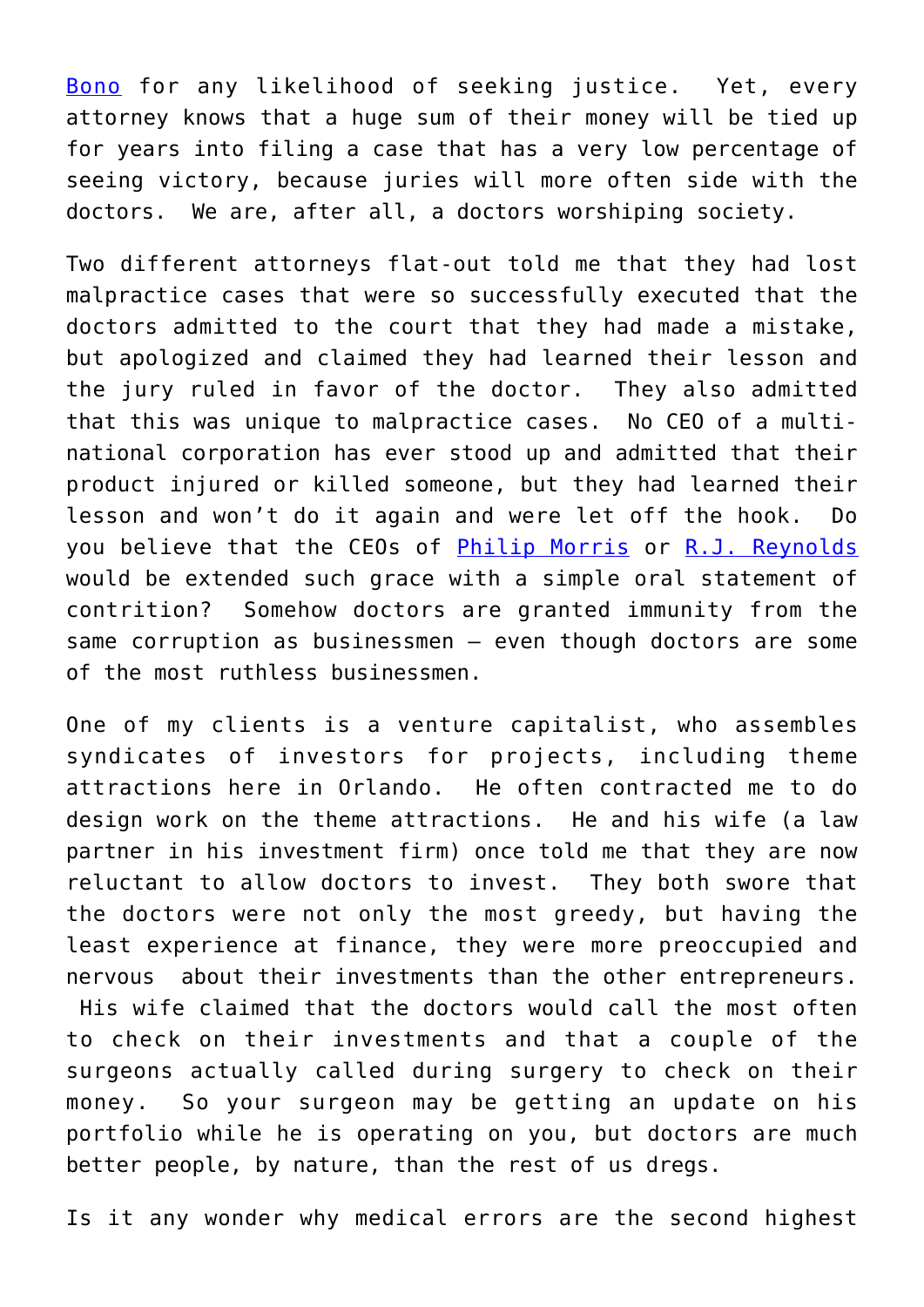[Bono](http://en.wikipedia.org/wiki/Pro_bono) for any likelihood of seeking justice. Yet, every attorney knows that a huge sum of their money will be tied up for years into filing a case that has a very low percentage of seeing victory, because juries will more often side with the doctors. We are, after all, a doctors worshiping society.

Two different attorneys flat-out told me that they had lost malpractice cases that were so successfully executed that the doctors admitted to the court that they had made a mistake, but apologized and claimed they had learned their lesson and the jury ruled in favor of the doctor. They also admitted that this was unique to malpractice cases. No CEO of a multinational corporation has ever stood up and admitted that their product injured or killed someone, but they had learned their lesson and won't do it again and were let off the hook. Do you believe that the CEOs of [Philip Morris](http://www.philipmorrisusa.com/en/cms/Home/default.aspx) or [R.J. Reynolds](http://www.rjrt.com/) would be extended such grace with a simple oral statement of contrition? Somehow doctors are granted immunity from the same corruption as businessmen – even though doctors are some of the most ruthless businessmen.

One of my clients is a venture capitalist, who assembles syndicates of investors for projects, including theme attractions here in Orlando. He often contracted me to do design work on the theme attractions. He and his wife (a law partner in his investment firm) once told me that they are now reluctant to allow doctors to invest. They both swore that the doctors were not only the most greedy, but having the least experience at finance, they were more preoccupied and nervous about their investments than the other entrepreneurs. His wife claimed that the doctors would call the most often to check on their investments and that a couple of the surgeons actually called during surgery to check on their money. So your surgeon may be getting an update on his portfolio while he is operating on you, but doctors are much better people, by nature, than the rest of us dregs.

Is it any wonder why medical errors are the second highest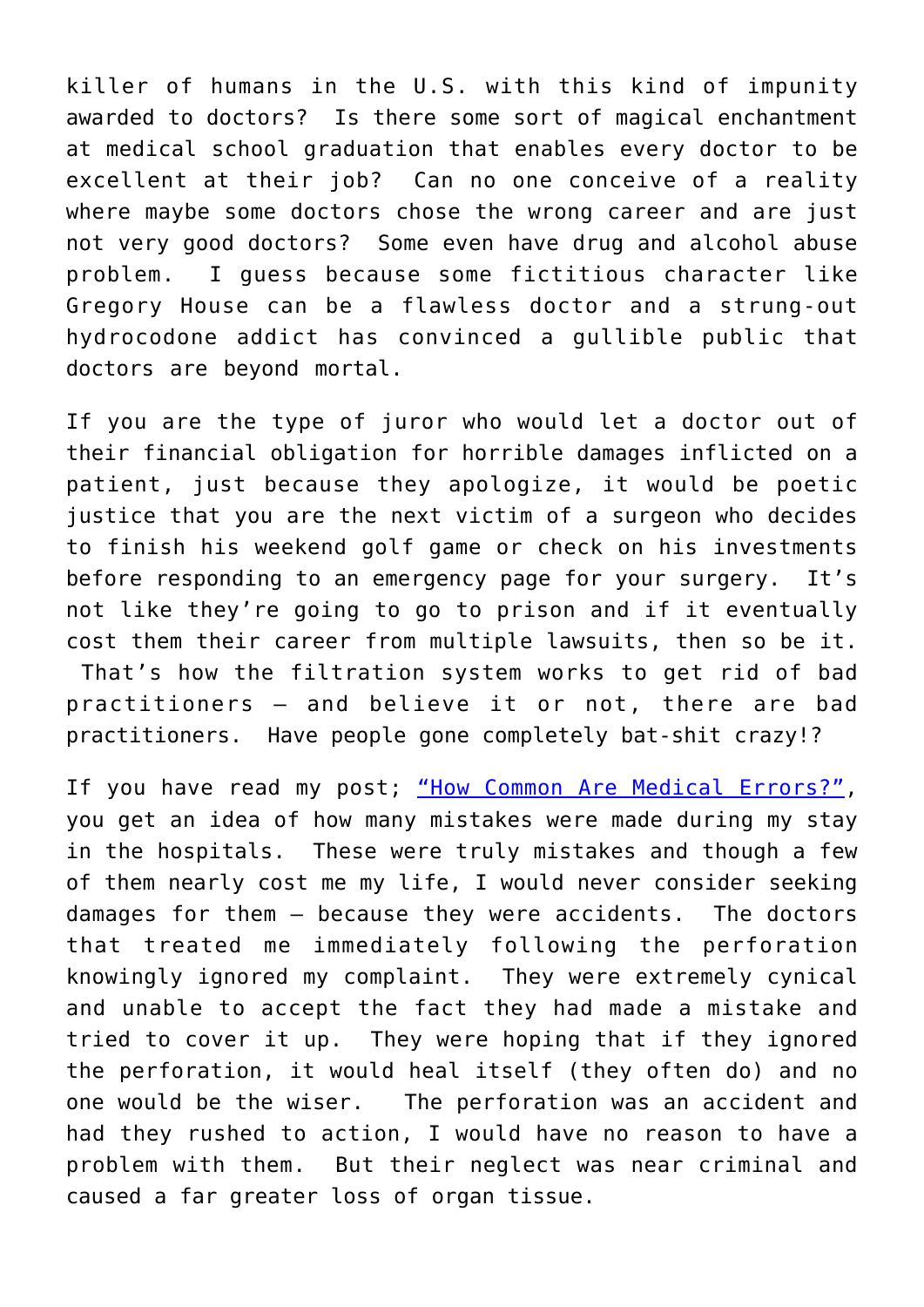killer of humans in the U.S. with this kind of impunity awarded to doctors? Is there some sort of magical enchantment at medical school graduation that enables every doctor to be excellent at their job? Can no one conceive of a reality where maybe some doctors chose the wrong career and are just not very good doctors? Some even have drug and alcohol abuse problem. I guess because some fictitious character like Gregory House can be a flawless doctor and a strung-out hydrocodone addict has convinced a gullible public that doctors are beyond mortal.

If you are the type of juror who would let a doctor out of their financial obligation for horrible damages inflicted on a patient, just because they apologize, it would be poetic justice that you are the next victim of a surgeon who decides to finish his weekend golf game or check on his investments before responding to an emergency page for your surgery. It's not like they're going to go to prison and if it eventually cost them their career from multiple lawsuits, then so be it. That's how the filtration system works to get rid of bad practitioners – and believe it or not, there are bad practitioners. Have people gone completely bat-shit crazy!?

If you have read my post; ["How Common Are Medical Errors?",](http://roarofwolverine.com/archives/3019) you get an idea of how many mistakes were made during my stay in the hospitals. These were truly mistakes and though a few of them nearly cost me my life, I would never consider seeking damages for them – because they were accidents. The doctors that treated me immediately following the perforation knowingly ignored my complaint. They were extremely cynical and unable to accept the fact they had made a mistake and tried to cover it up. They were hoping that if they ignored the perforation, it would heal itself (they often do) and no one would be the wiser. The perforation was an accident and had they rushed to action, I would have no reason to have a problem with them. But their neglect was near criminal and caused a far greater loss of organ tissue.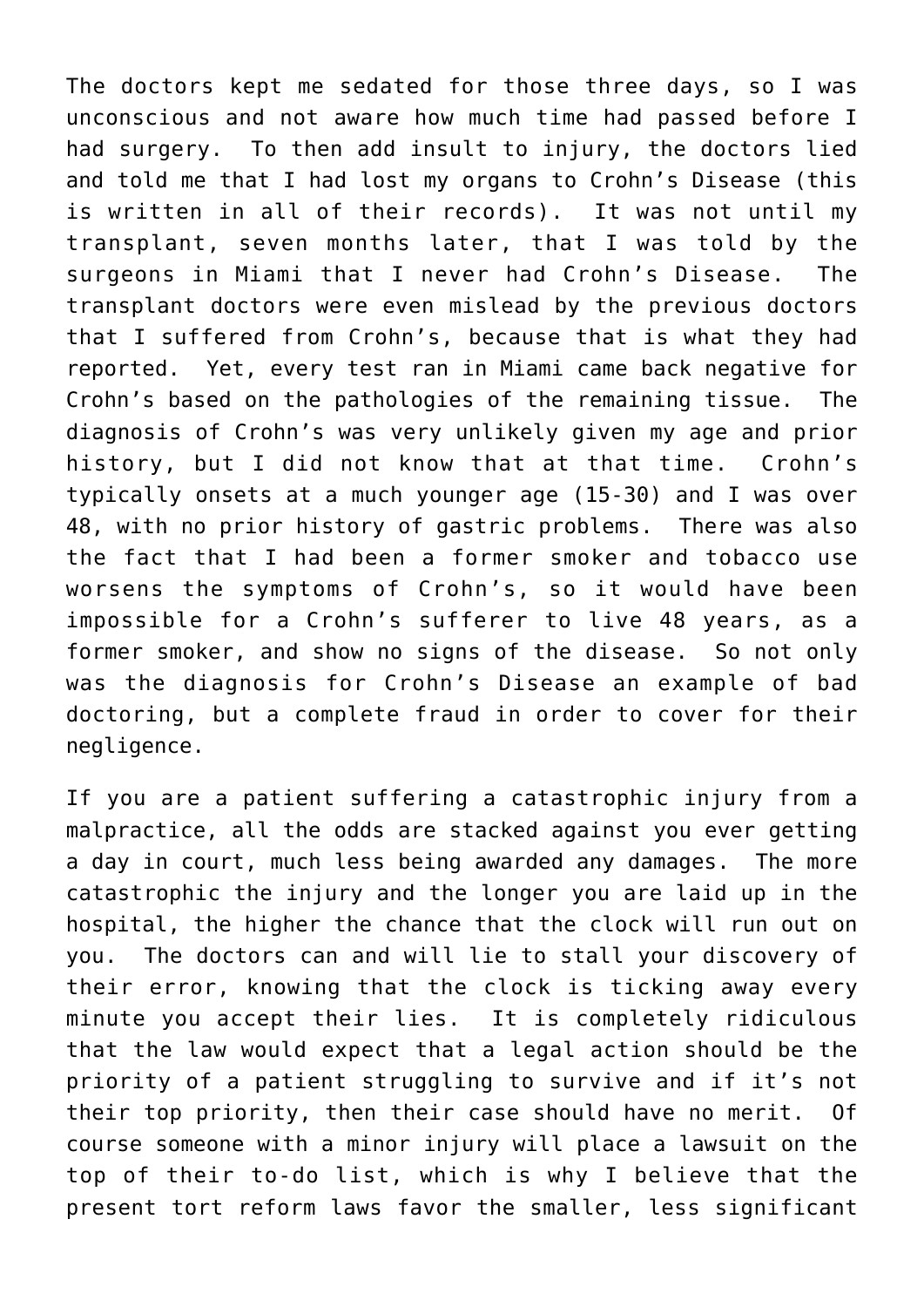The doctors kept me sedated for those three days, so I was unconscious and not aware how much time had passed before I had surgery. To then add insult to injury, the doctors lied and told me that I had lost my organs to Crohn's Disease (this is written in all of their records). It was not until my transplant, seven months later, that I was told by the surgeons in Miami that I never had Crohn's Disease. The transplant doctors were even mislead by the previous doctors that I suffered from Crohn's, because that is what they had reported. Yet, every test ran in Miami came back negative for Crohn's based on the pathologies of the remaining tissue. The diagnosis of Crohn's was very unlikely given my age and prior history, but I did not know that at that time. Crohn's typically onsets at a much younger age (15-30) and I was over 48, with no prior history of gastric problems. There was also the fact that I had been a former smoker and tobacco use worsens the symptoms of Crohn's, so it would have been impossible for a Crohn's sufferer to live 48 years, as a former smoker, and show no signs of the disease. So not only was the diagnosis for Crohn's Disease an example of bad doctoring, but a complete fraud in order to cover for their negligence.

If you are a patient suffering a catastrophic injury from a malpractice, all the odds are stacked against you ever getting a day in court, much less being awarded any damages. The more catastrophic the injury and the longer you are laid up in the hospital, the higher the chance that the clock will run out on you. The doctors can and will lie to stall your discovery of their error, knowing that the clock is ticking away every minute you accept their lies. It is completely ridiculous that the law would expect that a legal action should be the priority of a patient struggling to survive and if it's not their top priority, then their case should have no merit. Of course someone with a minor injury will place a lawsuit on the top of their to-do list, which is why I believe that the present tort reform laws favor the smaller, less significant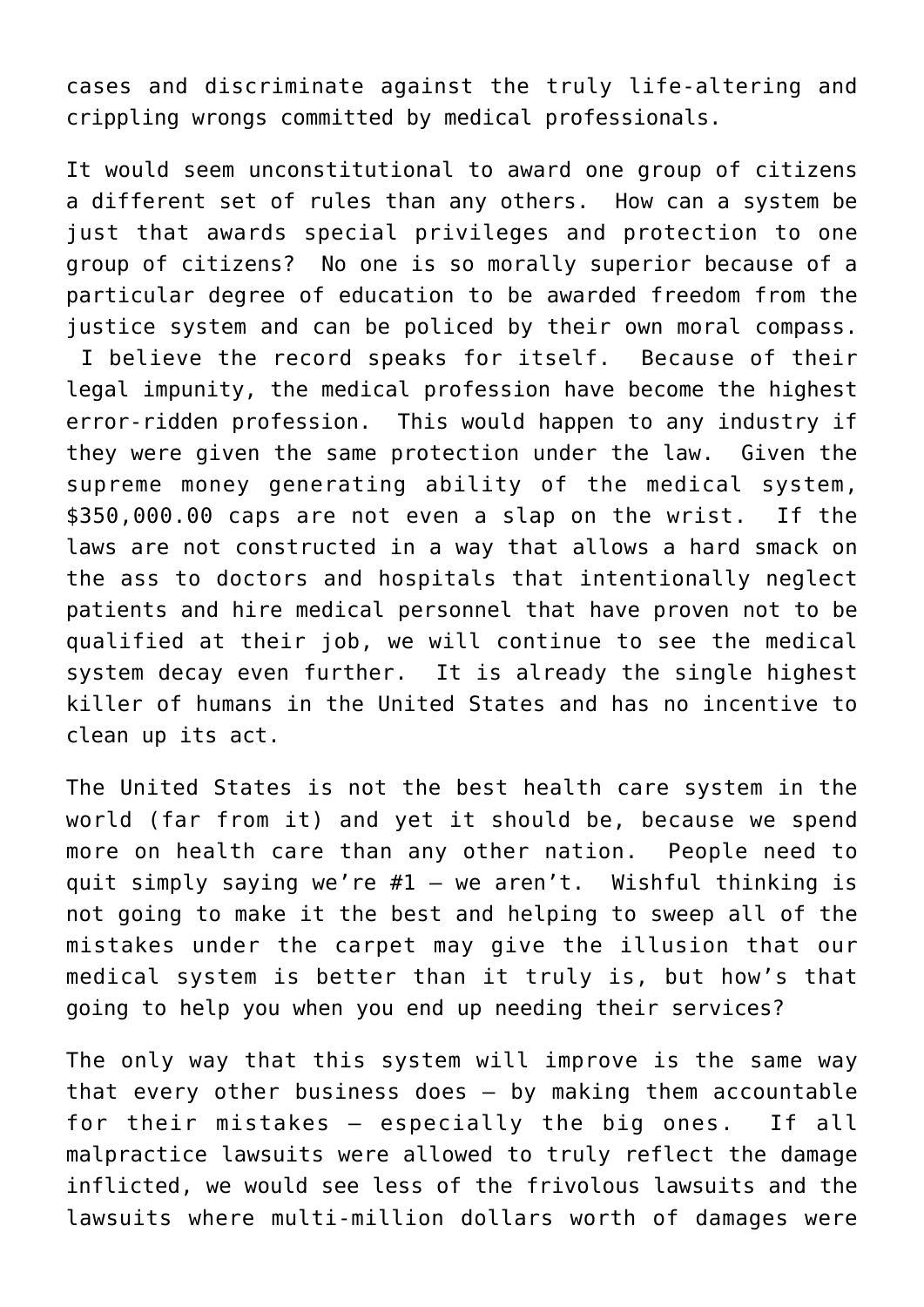cases and discriminate against the truly life-altering and crippling wrongs committed by medical professionals.

It would seem unconstitutional to award one group of citizens a different set of rules than any others. How can a system be just that awards special privileges and protection to one group of citizens? No one is so morally superior because of a particular degree of education to be awarded freedom from the justice system and can be policed by their own moral compass. I believe the record speaks for itself. Because of their legal impunity, the medical profession have become the highest error-ridden profession. This would happen to any industry if they were given the same protection under the law. Given the supreme money generating ability of the medical system, \$350,000.00 caps are not even a slap on the wrist. If the laws are not constructed in a way that allows a hard smack on the ass to doctors and hospitals that intentionally neglect patients and hire medical personnel that have proven not to be qualified at their job, we will continue to see the medical system decay even further. It is already the single highest killer of humans in the United States and has no incentive to clean up its act.

The United States is not the best health care system in the world (far from it) and yet it should be, because we spend more on health care than any other nation. People need to quit simply saying we're  $#1 - we$  aren't. Wishful thinking is not going to make it the best and helping to sweep all of the mistakes under the carpet may give the illusion that our medical system is better than it truly is, but how's that going to help you when you end up needing their services?

The only way that this system will improve is the same way that every other business does – by making them accountable for their mistakes – especially the big ones. If all malpractice lawsuits were allowed to truly reflect the damage inflicted, we would see less of the frivolous lawsuits and the lawsuits where multi-million dollars worth of damages were